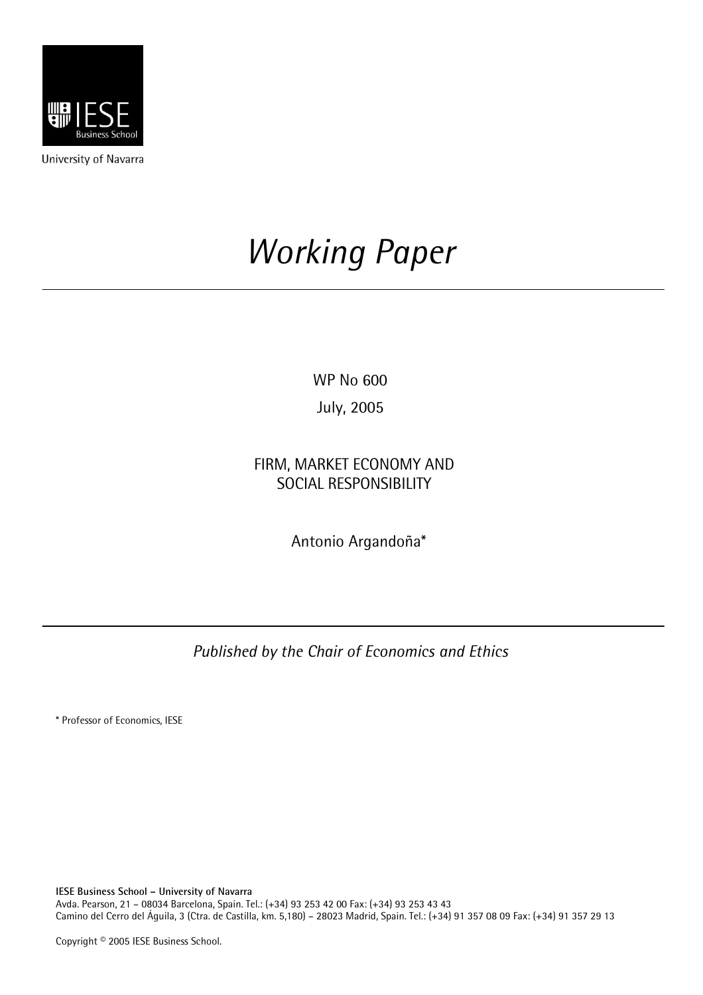

University of Navarra

# *Working Paper*

WP No 600

July, 2005

FIRM, MARKET ECONOMY AND SOCIAL RESPONSIBILITY

Antonio Argandoña\*

*Published by the Chair of Economics and Ethics* 

\* Professor of Economics, IESE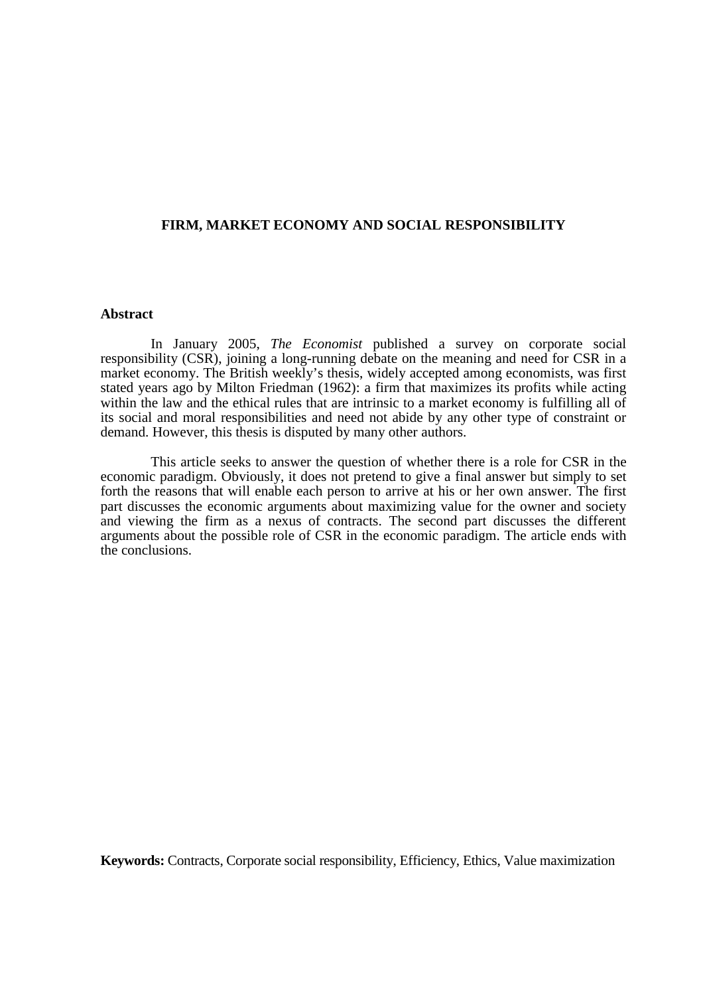## **FIRM, MARKET ECONOMY AND SOCIAL RESPONSIBILITY**

#### **Abstract**

In January 2005, *The Economist* published a survey on corporate social responsibility (CSR), joining a long-running debate on the meaning and need for CSR in a market economy. The British weekly's thesis, widely accepted among economists, was first stated years ago by Milton Friedman (1962): a firm that maximizes its profits while acting within the law and the ethical rules that are intrinsic to a market economy is fulfilling all of its social and moral responsibilities and need not abide by any other type of constraint or demand. However, this thesis is disputed by many other authors.

This article seeks to answer the question of whether there is a role for CSR in the economic paradigm. Obviously, it does not pretend to give a final answer but simply to set forth the reasons that will enable each person to arrive at his or her own answer. The first part discusses the economic arguments about maximizing value for the owner and society and viewing the firm as a nexus of contracts. The second part discusses the different arguments about the possible role of CSR in the economic paradigm. The article ends with the conclusions.

**Keywords:** Contracts, Corporate social responsibility, Efficiency, Ethics, Value maximization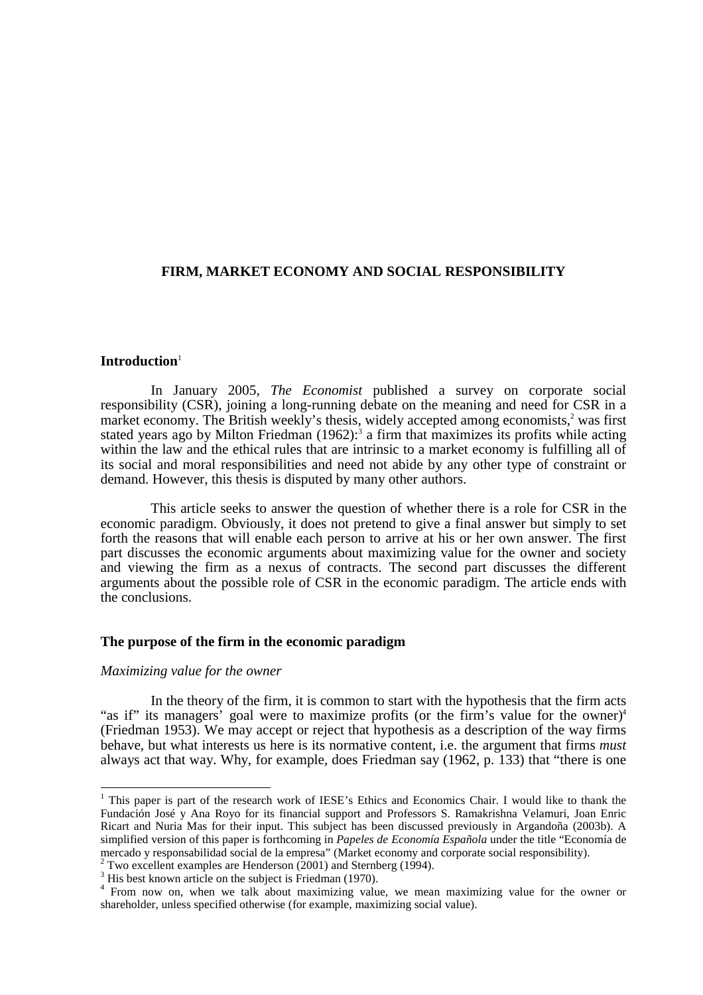# **FIRM, MARKET ECONOMY AND SOCIAL RESPONSIBILITY**

#### **Introduction**<sup>1</sup>

In January 2005, *The Economist* published a survey on corporate social responsibility (CSR), joining a long-running debate on the meaning and need for CSR in a market economy. The British weekly's thesis, widely accepted among economists,<sup>2</sup> was first stated years ago by Milton Friedman  $(1962)$ :<sup>3</sup> a firm that maximizes its profits while acting within the law and the ethical rules that are intrinsic to a market economy is fulfilling all of its social and moral responsibilities and need not abide by any other type of constraint or demand. However, this thesis is disputed by many other authors.

This article seeks to answer the question of whether there is a role for CSR in the economic paradigm. Obviously, it does not pretend to give a final answer but simply to set forth the reasons that will enable each person to arrive at his or her own answer. The first part discusses the economic arguments about maximizing value for the owner and society and viewing the firm as a nexus of contracts. The second part discusses the different arguments about the possible role of CSR in the economic paradigm. The article ends with the conclusions.

# **The purpose of the firm in the economic paradigm**

#### *Maximizing value for the owner*

In the theory of the firm, it is common to start with the hypothesis that the firm acts "as if" its managers' goal were to maximize profits (or the firm's value for the owner)<sup>4</sup> (Friedman 1953). We may accept or reject that hypothesis as a description of the way firms behave, but what interests us here is its normative content, i.e. the argument that firms *must* always act that way. Why, for example, does Friedman say (1962, p. 133) that "there is one

<sup>&</sup>lt;sup>1</sup> This paper is part of the research work of IESE's Ethics and Economics Chair. I would like to thank the Fundación José y Ana Royo for its financial support and Professors S. Ramakrishna Velamuri, Joan Enric Ricart and Nuria Mas for their input. This subject has been discussed previously in Argandoña (2003b). A simplified version of this paper is forthcoming in *Papeles de Economía Española* under the title "Economía de mercado y responsabilidad social de la empresa" (Market economy and corporate social responsibility). 2

<sup>&</sup>lt;sup>2</sup> Two excellent examples are Henderson  $(2001)$  and Sternberg (1994).

<sup>&</sup>lt;sup>3</sup> His best known article on the subject is Friedman (1970).

<sup>&</sup>lt;sup>4</sup> From now on, when we talk about maximizing value, we mean maximizing value for the owner or shareholder, unless specified otherwise (for example, maximizing social value).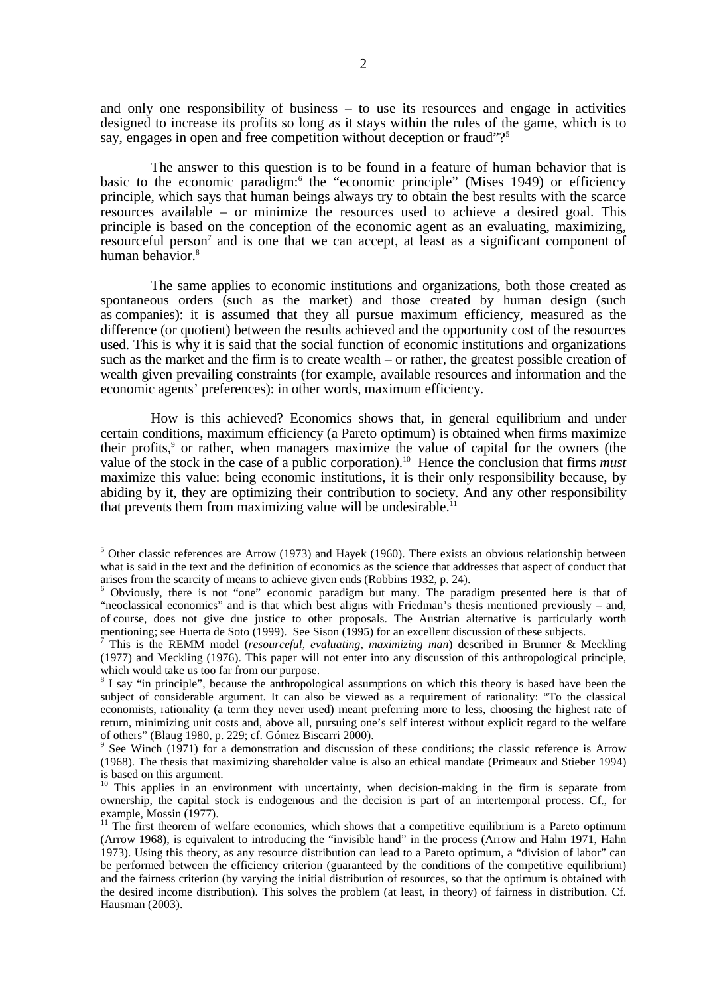and only one responsibility of business – to use its resources and engage in activities designed to increase its profits so long as it stays within the rules of the game, which is to say, engages in open and free competition without deception or fraud"?<sup>5</sup>

The answer to this question is to be found in a feature of human behavior that is basic to the economic paradigm:<sup>6</sup> the "economic principle" (Mises 1949) or efficiency principle, which says that human beings always try to obtain the best results with the scarce resources available – or minimize the resources used to achieve a desired goal. This principle is based on the conception of the economic agent as an evaluating, maximizing, resourceful person<sup>7</sup> and is one that we can accept, at least as a significant component of human behavior.<sup>8</sup>

The same applies to economic institutions and organizations, both those created as spontaneous orders (such as the market) and those created by human design (such as companies): it is assumed that they all pursue maximum efficiency, measured as the difference (or quotient) between the results achieved and the opportunity cost of the resources used. This is why it is said that the social function of economic institutions and organizations such as the market and the firm is to create wealth – or rather, the greatest possible creation of wealth given prevailing constraints (for example, available resources and information and the economic agents' preferences): in other words, maximum efficiency.

How is this achieved? Economics shows that, in general equilibrium and under certain conditions, maximum efficiency (a Pareto optimum) is obtained when firms maximize their profits,<sup>9</sup> or rather, when managers maximize the value of capital for the owners (the value of the stock in the case of a public corporation).<sup>10</sup> Hence the conclusion that firms *must* maximize this value: being economic institutions, it is their only responsibility because, by abiding by it, they are optimizing their contribution to society. And any other responsibility that prevents them from maximizing value will be undesirable.<sup>11</sup>

<sup>&</sup>lt;sup>5</sup> Other classic references are Arrow (1973) and Hayek (1960). There exists an obvious relationship between what is said in the text and the definition of economics as the science that addresses that aspect of conduct that arises from the scarcity of means to achieve given ends (Robbins 1932, p. 24).

<sup>&</sup>lt;sup>6</sup> Obviously, there is not "one" economic paradigm but many. The paradigm presented here is that of "neoclassical economics" and is that which best aligns with Friedman's thesis mentioned previously – and, of course, does not give due justice to other proposals. The Austrian alternative is particularly worth mentioning; see Huerta de Soto (1999). See Sison (1995) for an excellent discussion of these subjects.

<sup>7</sup> This is the REMM model (*resourceful, evaluating, maximizing man*) described in Brunner & Meckling (1977) and Meckling (1976). This paper will not enter into any discussion of this anthropological principle, which would take us too far from our purpose.<br><sup>8</sup> I say "in principle", because the anthropological assumptions on which this theory is based have been the

subject of considerable argument. It can also be viewed as a requirement of rationality: "To the classical economists, rationality (a term they never used) meant preferring more to less, choosing the highest rate of return, minimizing unit costs and, above all, pursuing one's self interest without explicit regard to the welfare of others" (Blaug 1980, p. 229; cf. Gómez Biscarri 2000).<br><sup>9</sup> See Wingh (1971) for a demonstration and disgussion.

See Winch (1971) for a demonstration and discussion of these conditions; the classic reference is Arrow (1968). The thesis that maximizing shareholder value is also an ethical mandate (Primeaux and Stieber 1994) is based on this argument.

 $10$  This applies in an environment with uncertainty, when decision-making in the firm is separate from ownership, the capital stock is endogenous and the decision is part of an intertemporal process. Cf., for example, Mossin (1977).

 $11$  The first theorem of welfare economics, which shows that a competitive equilibrium is a Pareto optimum (Arrow 1968), is equivalent to introducing the "invisible hand" in the process (Arrow and Hahn 1971, Hahn 1973). Using this theory, as any resource distribution can lead to a Pareto optimum, a "division of labor" can be performed between the efficiency criterion (guaranteed by the conditions of the competitive equilibrium) and the fairness criterion (by varying the initial distribution of resources, so that the optimum is obtained with the desired income distribution). This solves the problem (at least, in theory) of fairness in distribution. Cf. Hausman (2003).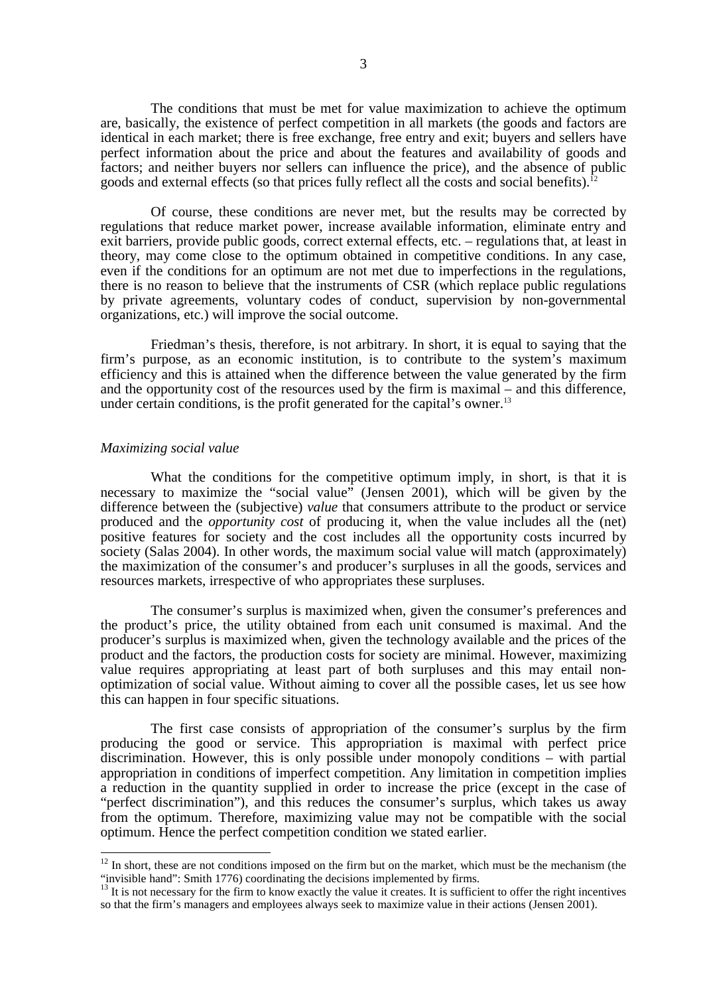The conditions that must be met for value maximization to achieve the optimum are, basically, the existence of perfect competition in all markets (the goods and factors are identical in each market; there is free exchange, free entry and exit; buyers and sellers have perfect information about the price and about the features and availability of goods and factors; and neither buyers nor sellers can influence the price), and the absence of public goods and external effects (so that prices fully reflect all the costs and social benefits).<sup>12</sup>

Of course, these conditions are never met, but the results may be corrected by regulations that reduce market power, increase available information, eliminate entry and exit barriers, provide public goods, correct external effects, etc. – regulations that, at least in theory, may come close to the optimum obtained in competitive conditions. In any case, even if the conditions for an optimum are not met due to imperfections in the regulations, there is no reason to believe that the instruments of CSR (which replace public regulations by private agreements, voluntary codes of conduct, supervision by non-governmental organizations, etc.) will improve the social outcome.

Friedman's thesis, therefore, is not arbitrary. In short, it is equal to saying that the firm's purpose, as an economic institution, is to contribute to the system's maximum efficiency and this is attained when the difference between the value generated by the firm and the opportunity cost of the resources used by the firm is maximal – and this difference, under certain conditions, is the profit generated for the capital's owner.<sup>13</sup>

## *Maximizing social value*

 $\overline{1}$ 

What the conditions for the competitive optimum imply, in short, is that it is necessary to maximize the "social value" (Jensen 2001), which will be given by the difference between the (subjective) *value* that consumers attribute to the product or service produced and the *opportunity cost* of producing it, when the value includes all the (net) positive features for society and the cost includes all the opportunity costs incurred by society (Salas 2004). In other words, the maximum social value will match (approximately) the maximization of the consumer's and producer's surpluses in all the goods, services and resources markets, irrespective of who appropriates these surpluses.

The consumer's surplus is maximized when, given the consumer's preferences and the product's price, the utility obtained from each unit consumed is maximal. And the producer's surplus is maximized when, given the technology available and the prices of the product and the factors, the production costs for society are minimal. However, maximizing value requires appropriating at least part of both surpluses and this may entail nonoptimization of social value. Without aiming to cover all the possible cases, let us see how this can happen in four specific situations.

The first case consists of appropriation of the consumer's surplus by the firm producing the good or service. This appropriation is maximal with perfect price discrimination. However, this is only possible under monopoly conditions – with partial appropriation in conditions of imperfect competition. Any limitation in competition implies a reduction in the quantity supplied in order to increase the price (except in the case of "perfect discrimination"), and this reduces the consumer's surplus, which takes us away from the optimum. Therefore, maximizing value may not be compatible with the social optimum. Hence the perfect competition condition we stated earlier.

 $12$  In short, these are not conditions imposed on the firm but on the market, which must be the mechanism (the "invisible hand": Smith 1776) coordinating the decisions implemented by firms.

 $13$  It is not necessary for the firm to know exactly the value it creates. It is sufficient to offer the right incentives so that the firm's managers and employees always seek to maximize value in their actions (Jensen 2001).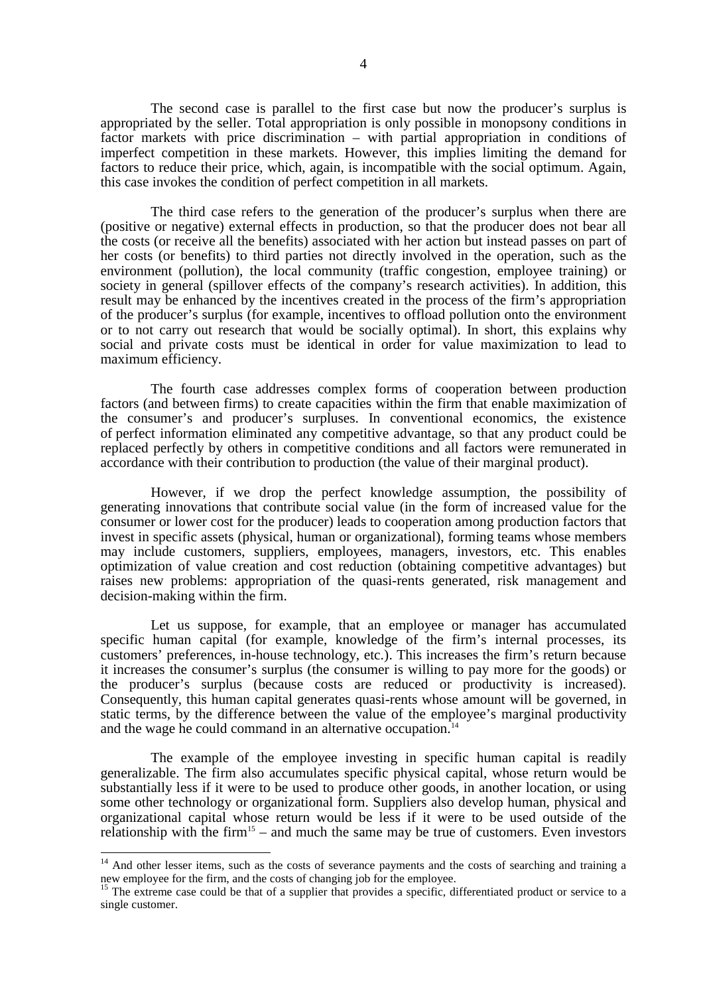The second case is parallel to the first case but now the producer's surplus is appropriated by the seller. Total appropriation is only possible in monopsony conditions in factor markets with price discrimination – with partial appropriation in conditions of imperfect competition in these markets. However, this implies limiting the demand for factors to reduce their price, which, again, is incompatible with the social optimum. Again, this case invokes the condition of perfect competition in all markets.

The third case refers to the generation of the producer's surplus when there are (positive or negative) external effects in production, so that the producer does not bear all the costs (or receive all the benefits) associated with her action but instead passes on part of her costs (or benefits) to third parties not directly involved in the operation, such as the environment (pollution), the local community (traffic congestion, employee training) or society in general (spillover effects of the company's research activities). In addition, this result may be enhanced by the incentives created in the process of the firm's appropriation of the producer's surplus (for example, incentives to offload pollution onto the environment or to not carry out research that would be socially optimal). In short, this explains why social and private costs must be identical in order for value maximization to lead to maximum efficiency.

The fourth case addresses complex forms of cooperation between production factors (and between firms) to create capacities within the firm that enable maximization of the consumer's and producer's surpluses. In conventional economics, the existence of perfect information eliminated any competitive advantage, so that any product could be replaced perfectly by others in competitive conditions and all factors were remunerated in accordance with their contribution to production (the value of their marginal product).

However, if we drop the perfect knowledge assumption, the possibility of generating innovations that contribute social value (in the form of increased value for the consumer or lower cost for the producer) leads to cooperation among production factors that invest in specific assets (physical, human or organizational), forming teams whose members may include customers, suppliers, employees, managers, investors, etc. This enables optimization of value creation and cost reduction (obtaining competitive advantages) but raises new problems: appropriation of the quasi-rents generated, risk management and decision-making within the firm.

Let us suppose, for example, that an employee or manager has accumulated specific human capital (for example, knowledge of the firm's internal processes, its customers' preferences, in-house technology, etc.). This increases the firm's return because it increases the consumer's surplus (the consumer is willing to pay more for the goods) or the producer's surplus (because costs are reduced or productivity is increased). Consequently, this human capital generates quasi-rents whose amount will be governed, in static terms, by the difference between the value of the employee's marginal productivity and the wage he could command in an alternative occupation.<sup>14</sup>

The example of the employee investing in specific human capital is readily generalizable. The firm also accumulates specific physical capital, whose return would be substantially less if it were to be used to produce other goods, in another location, or using some other technology or organizational form. Suppliers also develop human, physical and organizational capital whose return would be less if it were to be used outside of the relationship with the firm<sup>15</sup> – and much the same may be true of customers. Even investors

 $\overline{1}$ 

<sup>&</sup>lt;sup>14</sup> And other lesser items, such as the costs of severance payments and the costs of searching and training a new employee for the firm, and the costs of changing job for the employee.

<sup>&</sup>lt;sup>15</sup> The extreme case could be that of a supplier that provides a specific, differentiated product or service to a single customer.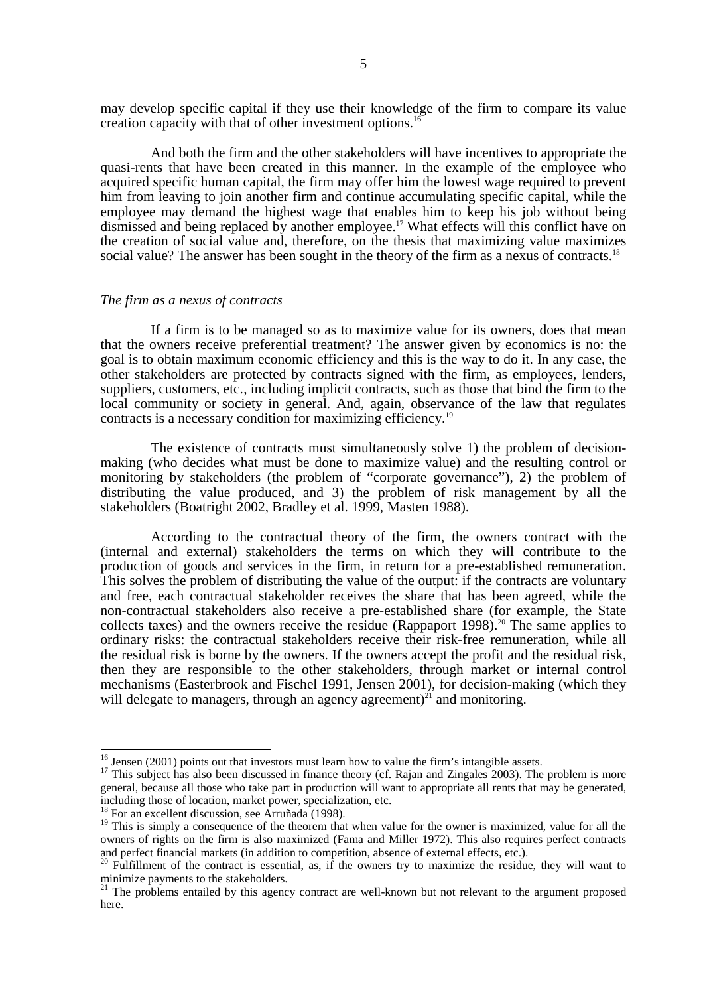may develop specific capital if they use their knowledge of the firm to compare its value creation capacity with that of other investment options.<sup>16</sup>

And both the firm and the other stakeholders will have incentives to appropriate the quasi-rents that have been created in this manner. In the example of the employee who acquired specific human capital, the firm may offer him the lowest wage required to prevent him from leaving to join another firm and continue accumulating specific capital, while the employee may demand the highest wage that enables him to keep his job without being dismissed and being replaced by another employee.<sup>17</sup> What effects will this conflict have on the creation of social value and, therefore, on the thesis that maximizing value maximizes social value? The answer has been sought in the theory of the firm as a nexus of contracts.<sup>18</sup>

#### *The firm as a nexus of contracts*

If a firm is to be managed so as to maximize value for its owners, does that mean that the owners receive preferential treatment? The answer given by economics is no: the goal is to obtain maximum economic efficiency and this is the way to do it. In any case, the other stakeholders are protected by contracts signed with the firm, as employees, lenders, suppliers, customers, etc., including implicit contracts, such as those that bind the firm to the local community or society in general. And, again, observance of the law that regulates contracts is a necessary condition for maximizing efficiency.19

The existence of contracts must simultaneously solve 1) the problem of decisionmaking (who decides what must be done to maximize value) and the resulting control or monitoring by stakeholders (the problem of "corporate governance"), 2) the problem of distributing the value produced, and 3) the problem of risk management by all the stakeholders (Boatright 2002, Bradley et al. 1999, Masten 1988).

According to the contractual theory of the firm, the owners contract with the (internal and external) stakeholders the terms on which they will contribute to the production of goods and services in the firm, in return for a pre-established remuneration. This solves the problem of distributing the value of the output: if the contracts are voluntary and free, each contractual stakeholder receives the share that has been agreed, while the non-contractual stakeholders also receive a pre-established share (for example, the State collects taxes) and the owners receive the residue (Rappaport 1998).<sup>20</sup> The same applies to ordinary risks: the contractual stakeholders receive their risk-free remuneration, while all the residual risk is borne by the owners. If the owners accept the profit and the residual risk, then they are responsible to the other stakeholders, through market or internal control mechanisms (Easterbrook and Fischel 1991, Jensen 2001), for decision-making (which they will delegate to managers, through an agency agreement)<sup>21</sup> and monitoring.

 $16$  Jensen (2001) points out that investors must learn how to value the firm's intangible assets.

<sup>&</sup>lt;sup>17</sup> This subject has also been discussed in finance theory (cf. Rajan and Zingales 2003). The problem is more general, because all those who take part in production will want to appropriate all rents that may be generated, including those of location, market power, specialization, etc.

<sup>&</sup>lt;sup>18</sup> For an excellent discussion, see Arruñada (1998).

<sup>&</sup>lt;sup>19</sup> This is simply a consequence of the theorem that when value for the owner is maximized, value for all the owners of rights on the firm is also maximized (Fama and Miller 1972). This also requires perfect contracts and perfect financial markets (in addition to competition, absence of external effects, etc.).

 $20$  Fulfillment of the contract is essential, as, if the owners try to maximize the residue, they will want to minimize payments to the stakeholders.

<sup>&</sup>lt;sup>21</sup> The problems entailed by this agency contract are well-known but not relevant to the argument proposed here.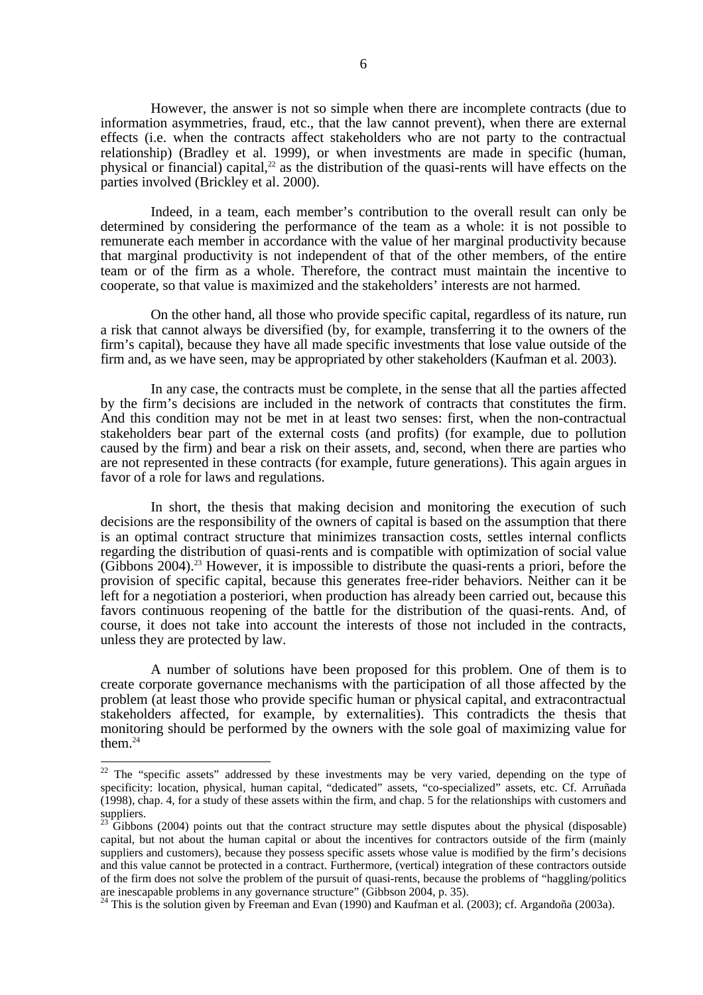However, the answer is not so simple when there are incomplete contracts (due to information asymmetries, fraud, etc., that the law cannot prevent), when there are external effects (i.e. when the contracts affect stakeholders who are not party to the contractual relationship) (Bradley et al. 1999), or when investments are made in specific (human, physical or financial) capital, $^{22}$  as the distribution of the quasi-rents will have effects on the parties involved (Brickley et al. 2000).

Indeed, in a team, each member's contribution to the overall result can only be determined by considering the performance of the team as a whole: it is not possible to remunerate each member in accordance with the value of her marginal productivity because that marginal productivity is not independent of that of the other members, of the entire team or of the firm as a whole. Therefore, the contract must maintain the incentive to cooperate, so that value is maximized and the stakeholders' interests are not harmed.

On the other hand, all those who provide specific capital, regardless of its nature, run a risk that cannot always be diversified (by, for example, transferring it to the owners of the firm's capital), because they have all made specific investments that lose value outside of the firm and, as we have seen, may be appropriated by other stakeholders (Kaufman et al. 2003).

In any case, the contracts must be complete, in the sense that all the parties affected by the firm's decisions are included in the network of contracts that constitutes the firm. And this condition may not be met in at least two senses: first, when the non-contractual stakeholders bear part of the external costs (and profits) (for example, due to pollution caused by the firm) and bear a risk on their assets, and, second, when there are parties who are not represented in these contracts (for example, future generations). This again argues in favor of a role for laws and regulations.

In short, the thesis that making decision and monitoring the execution of such decisions are the responsibility of the owners of capital is based on the assumption that there is an optimal contract structure that minimizes transaction costs, settles internal conflicts regarding the distribution of quasi-rents and is compatible with optimization of social value  $(Gibbons 2004).$ <sup>23</sup> However, it is impossible to distribute the quasi-rents a priori, before the provision of specific capital, because this generates free-rider behaviors. Neither can it be left for a negotiation a posteriori, when production has already been carried out, because this favors continuous reopening of the battle for the distribution of the quasi-rents. And, of course, it does not take into account the interests of those not included in the contracts, unless they are protected by law.

A number of solutions have been proposed for this problem. One of them is to create corporate governance mechanisms with the participation of all those affected by the problem (at least those who provide specific human or physical capital, and extracontractual stakeholders affected, for example, by externalities). This contradicts the thesis that monitoring should be performed by the owners with the sole goal of maximizing value for them. $24$ 

 $\overline{\phantom{a}}$ 

 $22$  The "specific assets" addressed by these investments may be very varied, depending on the type of specificity: location, physical, human capital, "dedicated" assets, "co-specialized" assets, etc. Cf. Arruñada (1998), chap. 4, for a study of these assets within the firm, and chap. 5 for the relationships with customers and suppliers.

 $^{23}$  Gibbons (2004) points out that the contract structure may settle disputes about the physical (disposable) capital, but not about the human capital or about the incentives for contractors outside of the firm (mainly suppliers and customers), because they possess specific assets whose value is modified by the firm's decisions and this value cannot be protected in a contract. Furthermore, (vertical) integration of these contractors outside of the firm does not solve the problem of the pursuit of quasi-rents, because the problems of "haggling/politics are inescapable problems in any governance structure" (Gibbson 2004, p. 35).

 $^{24}$  This is the solution given by Freeman and Evan (1990) and Kaufman et al. (2003); cf. Argandoña (2003a).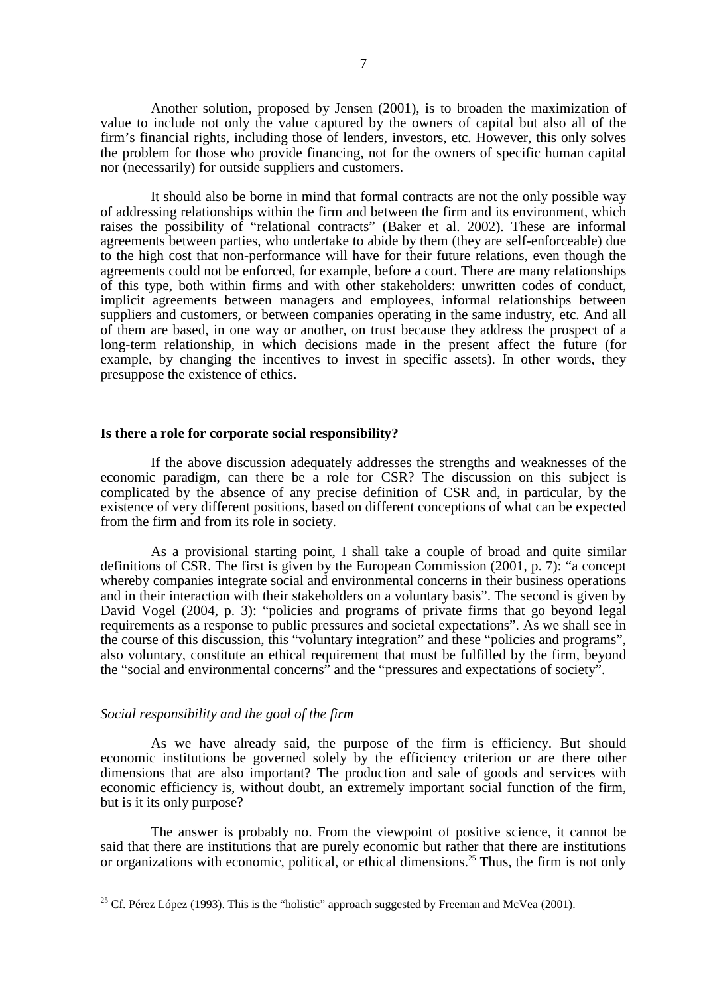Another solution, proposed by Jensen (2001), is to broaden the maximization of value to include not only the value captured by the owners of capital but also all of the firm's financial rights, including those of lenders, investors, etc. However, this only solves the problem for those who provide financing, not for the owners of specific human capital nor (necessarily) for outside suppliers and customers.

It should also be borne in mind that formal contracts are not the only possible way of addressing relationships within the firm and between the firm and its environment, which raises the possibility of "relational contracts" (Baker et al. 2002). These are informal agreements between parties, who undertake to abide by them (they are self-enforceable) due to the high cost that non-performance will have for their future relations, even though the agreements could not be enforced, for example, before a court. There are many relationships of this type, both within firms and with other stakeholders: unwritten codes of conduct, implicit agreements between managers and employees, informal relationships between suppliers and customers, or between companies operating in the same industry, etc. And all of them are based, in one way or another, on trust because they address the prospect of a long-term relationship, in which decisions made in the present affect the future (for example, by changing the incentives to invest in specific assets). In other words, they presuppose the existence of ethics.

### **Is there a role for corporate social responsibility?**

If the above discussion adequately addresses the strengths and weaknesses of the economic paradigm, can there be a role for CSR? The discussion on this subject is complicated by the absence of any precise definition of CSR and, in particular, by the existence of very different positions, based on different conceptions of what can be expected from the firm and from its role in society.

As a provisional starting point, I shall take a couple of broad and quite similar definitions of CSR. The first is given by the European Commission (2001, p. 7): "a concept whereby companies integrate social and environmental concerns in their business operations and in their interaction with their stakeholders on a voluntary basis". The second is given by David Vogel (2004, p. 3): "policies and programs of private firms that go beyond legal requirements as a response to public pressures and societal expectations". As we shall see in the course of this discussion, this "voluntary integration" and these "policies and programs", also voluntary, constitute an ethical requirement that must be fulfilled by the firm, beyond the "social and environmental concerns" and the "pressures and expectations of society".

## *Social responsibility and the goal of the firm*

 $\overline{\phantom{a}}$ 

As we have already said, the purpose of the firm is efficiency. But should economic institutions be governed solely by the efficiency criterion or are there other dimensions that are also important? The production and sale of goods and services with economic efficiency is, without doubt, an extremely important social function of the firm, but is it its only purpose?

The answer is probably no. From the viewpoint of positive science, it cannot be said that there are institutions that are purely economic but rather that there are institutions or organizations with economic, political, or ethical dimensions.<sup>25</sup> Thus, the firm is not only

<sup>&</sup>lt;sup>25</sup> Cf. Pérez López (1993). This is the "holistic" approach suggested by Freeman and McVea (2001).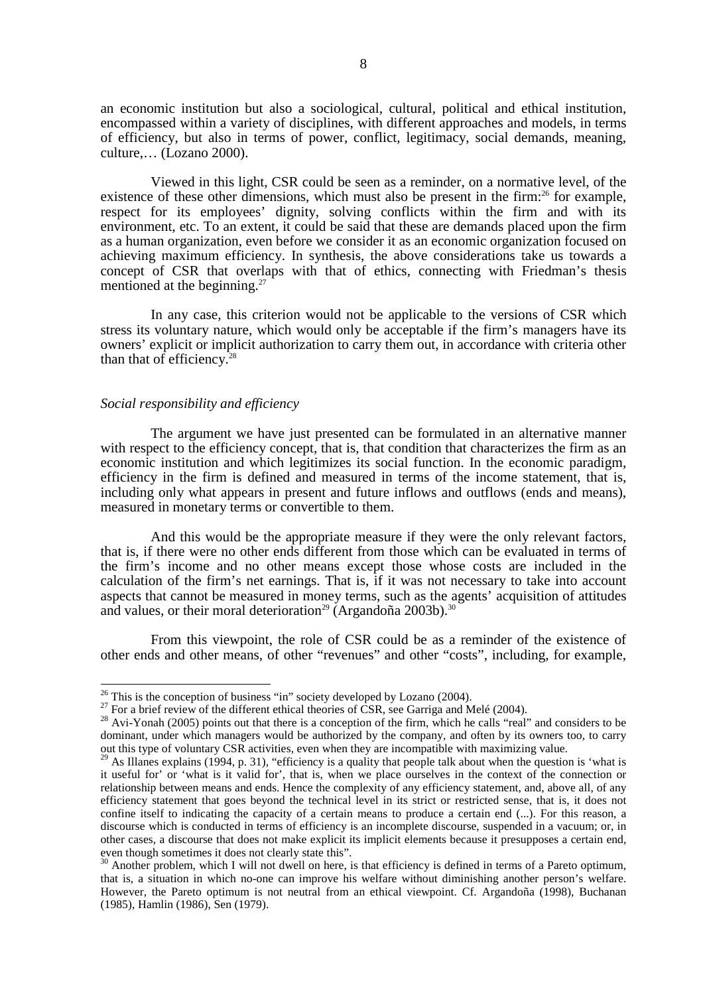an economic institution but also a sociological, cultural, political and ethical institution, encompassed within a variety of disciplines, with different approaches and models, in terms of efficiency, but also in terms of power, conflict, legitimacy, social demands, meaning, culture,… (Lozano 2000).

Viewed in this light, CSR could be seen as a reminder, on a normative level, of the existence of these other dimensions, which must also be present in the firm:<sup>26</sup> for example, respect for its employees' dignity, solving conflicts within the firm and with its environment, etc. To an extent, it could be said that these are demands placed upon the firm as a human organization, even before we consider it as an economic organization focused on achieving maximum efficiency. In synthesis, the above considerations take us towards a concept of CSR that overlaps with that of ethics, connecting with Friedman's thesis mentioned at the beginning.<sup>27</sup>

In any case, this criterion would not be applicable to the versions of CSR which stress its voluntary nature, which would only be acceptable if the firm's managers have its owners' explicit or implicit authorization to carry them out, in accordance with criteria other than that of efficiency. $28$ 

#### *Social responsibility and efficiency*

The argument we have just presented can be formulated in an alternative manner with respect to the efficiency concept, that is, that condition that characterizes the firm as an economic institution and which legitimizes its social function. In the economic paradigm, efficiency in the firm is defined and measured in terms of the income statement, that is, including only what appears in present and future inflows and outflows (ends and means), measured in monetary terms or convertible to them.

And this would be the appropriate measure if they were the only relevant factors, that is, if there were no other ends different from those which can be evaluated in terms of the firm's income and no other means except those whose costs are included in the calculation of the firm's net earnings. That is, if it was not necessary to take into account aspects that cannot be measured in money terms, such as the agents' acquisition of attitudes and values, or their moral deterioration<sup>29</sup> (Argandoña 2003b).<sup>30</sup>

From this viewpoint, the role of CSR could be as a reminder of the existence of other ends and other means, of other "revenues" and other "costs", including, for example,

 $26$  This is the conception of business "in" society developed by Lozano (2004).

<sup>&</sup>lt;sup>27</sup> For a brief review of the different ethical theories of CSR, see Garriga and Melé (2004).<br><sup>28</sup> Avi-Yonah (2005) points out that there is a conception of the firm, which he calls "real" and considers to be dominant, under which managers would be authorized by the company, and often by its owners too, to carry out this type of voluntary CSR activities, even when they are incompatible with maximizing value.

 $^{29}$  As Illanes explains (1994, p. 31), "efficiency is a quality that people talk about when the question is 'what is it useful for' or 'what is it valid for', that is, when we place ourselves in the context of the connection or relationship between means and ends. Hence the complexity of any efficiency statement, and, above all, of any efficiency statement that goes beyond the technical level in its strict or restricted sense, that is, it does not confine itself to indicating the capacity of a certain means to produce a certain end (...). For this reason, a discourse which is conducted in terms of efficiency is an incomplete discourse, suspended in a vacuum; or, in other cases, a discourse that does not make explicit its implicit elements because it presupposes a certain end, even though sometimes it does not clearly state this".

 $30$  Another problem, which I will not dwell on here, is that efficiency is defined in terms of a Pareto optimum, that is, a situation in which no-one can improve his welfare without diminishing another person's welfare. However, the Pareto optimum is not neutral from an ethical viewpoint. Cf. Argandoña (1998), Buchanan (1985), Hamlin (1986), Sen (1979).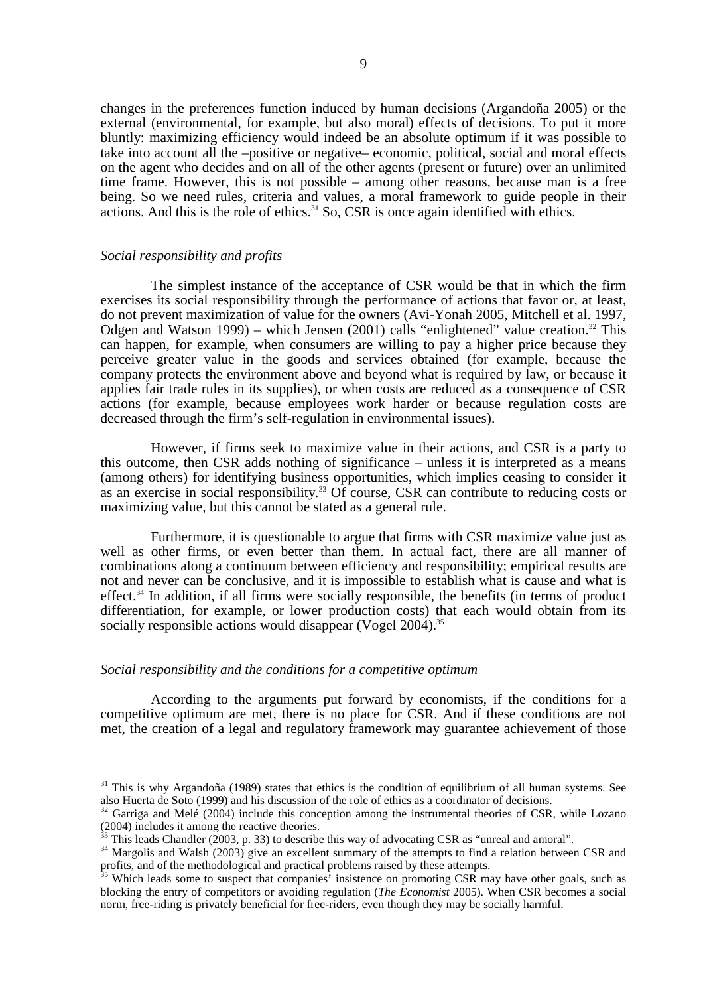changes in the preferences function induced by human decisions (Argandoña 2005) or the external (environmental, for example, but also moral) effects of decisions. To put it more bluntly: maximizing efficiency would indeed be an absolute optimum if it was possible to take into account all the –positive or negative– economic, political, social and moral effects on the agent who decides and on all of the other agents (present or future) over an unlimited time frame. However, this is not possible – among other reasons, because man is a free being. So we need rules, criteria and values, a moral framework to guide people in their actions. And this is the role of ethics.<sup>31</sup> So, CSR is once again identified with ethics.

## *Social responsibility and profits*

 $\overline{\phantom{a}}$ 

The simplest instance of the acceptance of CSR would be that in which the firm exercises its social responsibility through the performance of actions that favor or, at least, do not prevent maximization of value for the owners (Avi-Yonah 2005, Mitchell et al. 1997, Odgen and Watson 1999) – which Jensen (2001) calls "enlightened" value creation.<sup>32</sup> This can happen, for example, when consumers are willing to pay a higher price because they perceive greater value in the goods and services obtained (for example, because the company protects the environment above and beyond what is required by law, or because it applies fair trade rules in its supplies), or when costs are reduced as a consequence of CSR actions (for example, because employees work harder or because regulation costs are decreased through the firm's self-regulation in environmental issues).

However, if firms seek to maximize value in their actions, and CSR is a party to this outcome, then CSR adds nothing of significance – unless it is interpreted as a means (among others) for identifying business opportunities, which implies ceasing to consider it as an exercise in social responsibility.<sup>33</sup> Of course, CSR can contribute to reducing costs or maximizing value, but this cannot be stated as a general rule.

Furthermore, it is questionable to argue that firms with CSR maximize value just as well as other firms, or even better than them. In actual fact, there are all manner of combinations along a continuum between efficiency and responsibility; empirical results are not and never can be conclusive, and it is impossible to establish what is cause and what is effect. $34$  In addition, if all firms were socially responsible, the benefits (in terms of product differentiation, for example, or lower production costs) that each would obtain from its socially responsible actions would disappear (Vogel 2004).<sup>35</sup>

# *Social responsibility and the conditions for a competitive optimum*

According to the arguments put forward by economists, if the conditions for a competitive optimum are met, there is no place for CSR. And if these conditions are not met, the creation of a legal and regulatory framework may guarantee achievement of those

 $31$  This is why Argandoña (1989) states that ethics is the condition of equilibrium of all human systems. See also Huerta de Soto (1999) and his discussion of the role of ethics as a coordinator of decisions.

 $32$  Garriga and Melé (2004) include this conception among the instrumental theories of CSR, while Lozano (2004) includes it among the reactive theories.<br><sup>33</sup> This leads Chandler (2003, p. 33) to describe this way of advocating CSR as "unreal and amoral".

 $34$  Margolis and Walsh (2003) give an excellent summary of the attempts to find a relation between CSR and profits, and of the methodological and practical problems raised by these attempts.

<sup>&</sup>lt;sup>35</sup> Which leads some to suspect that companies' insistence on promoting CSR may have other goals, such as blocking the entry of competitors or avoiding regulation (*The Economist* 2005). When CSR becomes a social norm, free-riding is privately beneficial for free-riders, even though they may be socially harmful.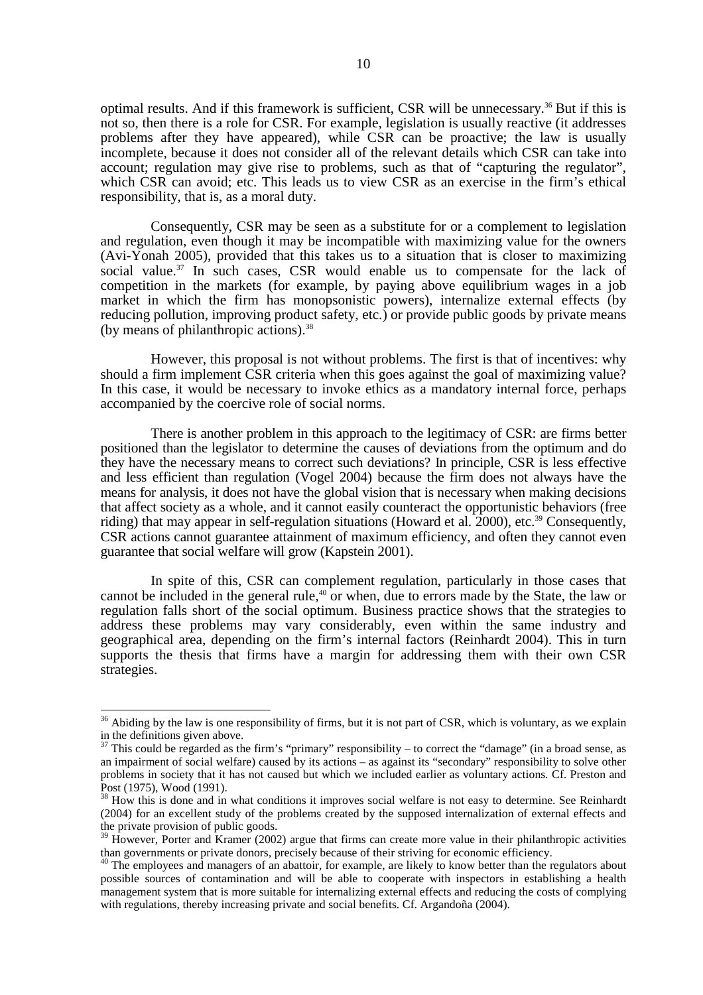optimal results. And if this framework is sufficient, CSR will be unnecessary.36 But if this is not so, then there is a role for CSR. For example, legislation is usually reactive (it addresses problems after they have appeared), while CSR can be proactive; the law is usually incomplete, because it does not consider all of the relevant details which CSR can take into account; regulation may give rise to problems, such as that of "capturing the regulator", which CSR can avoid; etc. This leads us to view CSR as an exercise in the firm's ethical responsibility, that is, as a moral duty.

Consequently, CSR may be seen as a substitute for or a complement to legislation and regulation, even though it may be incompatible with maximizing value for the owners (Avi-Yonah 2005), provided that this takes us to a situation that is closer to maximizing social value.<sup>37</sup> In such cases, CSR would enable us to compensate for the lack of competition in the markets (for example, by paying above equilibrium wages in a job market in which the firm has monopsonistic powers), internalize external effects (by reducing pollution, improving product safety, etc.) or provide public goods by private means (by means of philanthropic actions).38

However, this proposal is not without problems. The first is that of incentives: why should a firm implement CSR criteria when this goes against the goal of maximizing value? In this case, it would be necessary to invoke ethics as a mandatory internal force, perhaps accompanied by the coercive role of social norms.

There is another problem in this approach to the legitimacy of CSR: are firms better positioned than the legislator to determine the causes of deviations from the optimum and do they have the necessary means to correct such deviations? In principle, CSR is less effective and less efficient than regulation (Vogel 2004) because the firm does not always have the means for analysis, it does not have the global vision that is necessary when making decisions that affect society as a whole, and it cannot easily counteract the opportunistic behaviors (free riding) that may appear in self-regulation situations (Howard et al. 2000), etc.<sup>39</sup> Consequently, CSR actions cannot guarantee attainment of maximum efficiency, and often they cannot even guarantee that social welfare will grow (Kapstein 2001).

In spite of this, CSR can complement regulation, particularly in those cases that cannot be included in the general rule,<sup>40</sup> or when, due to errors made by the State, the law or regulation falls short of the social optimum. Business practice shows that the strategies to address these problems may vary considerably, even within the same industry and geographical area, depending on the firm's internal factors (Reinhardt 2004). This in turn supports the thesis that firms have a margin for addressing them with their own CSR strategies.

 $\overline{a}$ 

 $36$  Abiding by the law is one responsibility of firms, but it is not part of CSR, which is voluntary, as we explain  $\frac{1}{37}$  in the definitions given above.

<sup>37</sup> This could be regarded as the firm's "primary" responsibility – to correct the "damage" (in a broad sense, as an impairment of social welfare) caused by its actions – as against its "secondary" responsibility to solve other problems in society that it has not caused but which we included earlier as voluntary actions. Cf. Preston and Post (1975), Wood (1991).

<sup>&</sup>lt;sup>38</sup> How this is done and in what conditions it improves social welfare is not easy to determine. See Reinhardt (2004) for an excellent study of the problems created by the supposed internalization of external effects and the private provision of public goods.

<sup>&</sup>lt;sup>39</sup> However, Porter and Kramer (2002) argue that firms can create more value in their philanthropic activities than governments or private donors, precisely because of their striving for economic efficiency.

<sup>&</sup>lt;sup>40</sup> The employees and managers of an abattoir, for example, are likely to know better than the regulators about possible sources of contamination and will be able to cooperate with inspectors in establishing a health management system that is more suitable for internalizing external effects and reducing the costs of complying with regulations, thereby increasing private and social benefits. Cf. Argandoña (2004).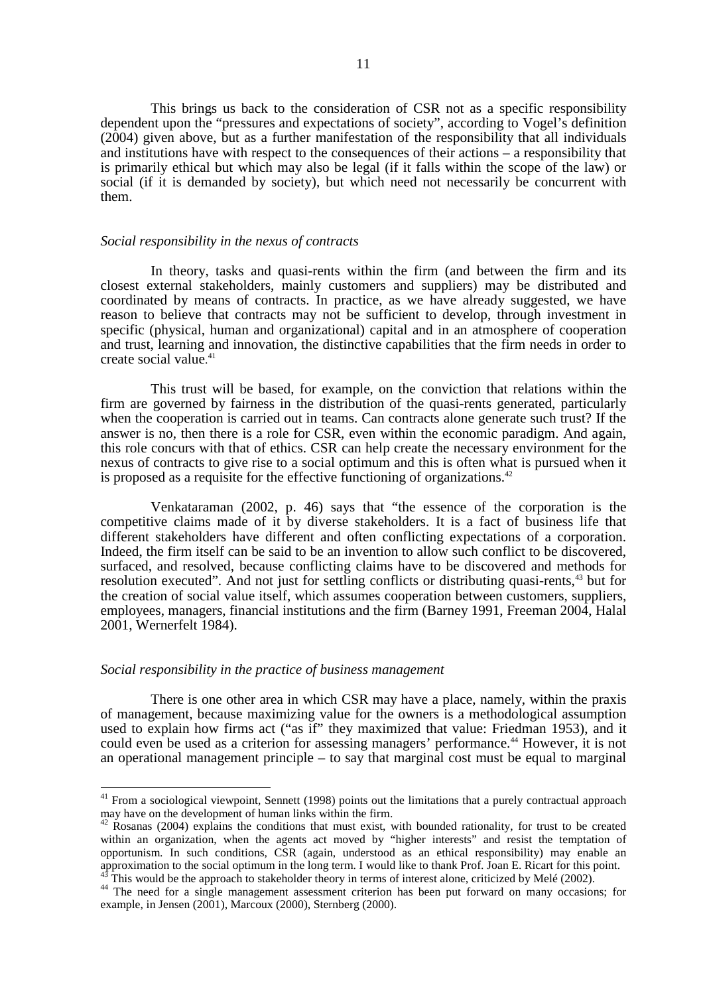This brings us back to the consideration of CSR not as a specific responsibility dependent upon the "pressures and expectations of society", according to Vogel's definition (2004) given above, but as a further manifestation of the responsibility that all individuals and institutions have with respect to the consequences of their actions – a responsibility that is primarily ethical but which may also be legal (if it falls within the scope of the law) or social (if it is demanded by society), but which need not necessarily be concurrent with them.

#### *Social responsibility in the nexus of contracts*

In theory, tasks and quasi-rents within the firm (and between the firm and its closest external stakeholders, mainly customers and suppliers) may be distributed and coordinated by means of contracts. In practice, as we have already suggested, we have reason to believe that contracts may not be sufficient to develop, through investment in specific (physical, human and organizational) capital and in an atmosphere of cooperation and trust, learning and innovation, the distinctive capabilities that the firm needs in order to create social value. 41

This trust will be based, for example, on the conviction that relations within the firm are governed by fairness in the distribution of the quasi-rents generated, particularly when the cooperation is carried out in teams. Can contracts alone generate such trust? If the answer is no, then there is a role for CSR, even within the economic paradigm. And again, this role concurs with that of ethics. CSR can help create the necessary environment for the nexus of contracts to give rise to a social optimum and this is often what is pursued when it is proposed as a requisite for the effective functioning of organizations.<sup>42</sup>

Venkataraman (2002, p. 46) says that "the essence of the corporation is the competitive claims made of it by diverse stakeholders. It is a fact of business life that different stakeholders have different and often conflicting expectations of a corporation. Indeed, the firm itself can be said to be an invention to allow such conflict to be discovered, surfaced, and resolved, because conflicting claims have to be discovered and methods for resolution executed". And not just for settling conflicts or distributing quasi-rents,<sup>43</sup> but for the creation of social value itself, which assumes cooperation between customers, suppliers, employees, managers, financial institutions and the firm (Barney 1991, Freeman 2004, Halal 2001, Wernerfelt 1984).

# *Social responsibility in the practice of business management*

 $\overline{1}$ 

There is one other area in which CSR may have a place, namely, within the praxis of management, because maximizing value for the owners is a methodological assumption used to explain how firms act ("as if" they maximized that value: Friedman 1953), and it could even be used as a criterion for assessing managers' performance.<sup>44</sup> However, it is not an operational management principle – to say that marginal cost must be equal to marginal

<sup>&</sup>lt;sup>41</sup> From a sociological viewpoint, Sennett (1998) points out the limitations that a purely contractual approach may have on the development of human links within the firm.

 $42$  Rosanas (2004) explains the conditions that must exist, with bounded rationality, for trust to be created within an organization, when the agents act moved by "higher interests" and resist the temptation of opportunism. In such conditions, CSR (again, understood as an ethical responsibility) may enable an approximation to the social optimum in the long term. I would like to thank Prof. Joan E. Ricart for this point.<br><sup>43</sup> This would be the approach to stakeholder theory in terms of interest alone, criticized by Melé (2002).

<sup>&</sup>lt;sup>44</sup> The need for a single management assessment criterion has been put forward on many occasions; for example, in Jensen (2001), Marcoux (2000), Sternberg (2000).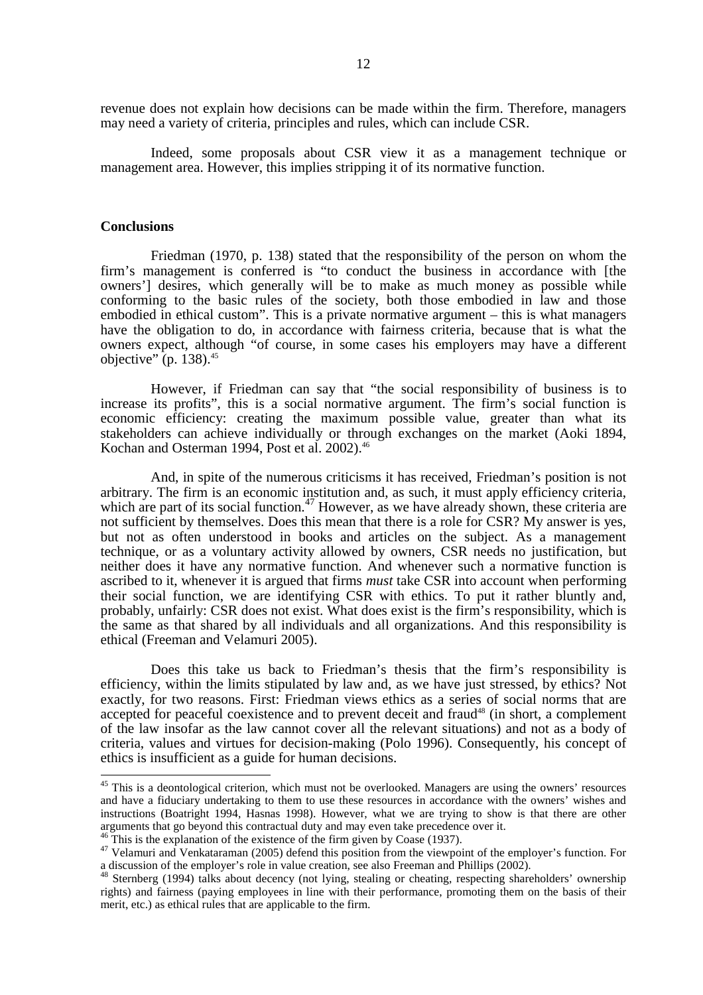revenue does not explain how decisions can be made within the firm. Therefore, managers may need a variety of criteria, principles and rules, which can include CSR.

Indeed, some proposals about CSR view it as a management technique or management area. However, this implies stripping it of its normative function.

## **Conclusions**

 $\overline{\phantom{a}}$ 

Friedman (1970, p. 138) stated that the responsibility of the person on whom the firm's management is conferred is "to conduct the business in accordance with [the owners'] desires, which generally will be to make as much money as possible while conforming to the basic rules of the society, both those embodied in law and those embodied in ethical custom". This is a private normative argument – this is what managers have the obligation to do, in accordance with fairness criteria, because that is what the owners expect, although "of course, in some cases his employers may have a different objective" (p. 138). $45$ 

However, if Friedman can say that "the social responsibility of business is to increase its profits", this is a social normative argument. The firm's social function is economic efficiency: creating the maximum possible value, greater than what its stakeholders can achieve individually or through exchanges on the market (Aoki 1894, Kochan and Osterman 1994, Post et al. 2002).<sup>46</sup>

And, in spite of the numerous criticisms it has received, Friedman's position is not arbitrary. The firm is an economic institution and, as such, it must apply efficiency criteria, which are part of its social function.<sup>47</sup> However, as we have already shown, these criteria are not sufficient by themselves. Does this mean that there is a role for CSR? My answer is yes, but not as often understood in books and articles on the subject. As a management technique, or as a voluntary activity allowed by owners, CSR needs no justification, but neither does it have any normative function. And whenever such a normative function is ascribed to it, whenever it is argued that firms *must* take CSR into account when performing their social function, we are identifying CSR with ethics. To put it rather bluntly and, probably, unfairly: CSR does not exist. What does exist is the firm's responsibility, which is the same as that shared by all individuals and all organizations. And this responsibility is ethical (Freeman and Velamuri 2005).

Does this take us back to Friedman's thesis that the firm's responsibility is efficiency, within the limits stipulated by law and, as we have just stressed, by ethics? Not exactly, for two reasons. First: Friedman views ethics as a series of social norms that are accepted for peaceful coexistence and to prevent deceit and fraud<sup>48</sup> (in short, a complement of the law insofar as the law cannot cover all the relevant situations) and not as a body of criteria, values and virtues for decision-making (Polo 1996). Consequently, his concept of ethics is insufficient as a guide for human decisions.

<sup>&</sup>lt;sup>45</sup> This is a deontological criterion, which must not be overlooked. Managers are using the owners' resources and have a fiduciary undertaking to them to use these resources in accordance with the owners' wishes and instructions (Boatright 1994, Hasnas 1998). However, what we are trying to show is that there are other arguments that go beyond this contractual duty and may even take precedence over it.<br><sup>46</sup> This is the explanation of the existence of the firm given by Coase (1937).

 $47$  Velamuri and Venkataraman (2005) defend this position from the viewpoint of the employer's function. For a discussion of the employer's role in value creation, see also Freeman and Phillips (2002).

<sup>48</sup> Sternberg (1994) talks about decency (not lying, stealing or cheating, respecting shareholders' ownership rights) and fairness (paying employees in line with their performance, promoting them on the basis of their merit, etc.) as ethical rules that are applicable to the firm.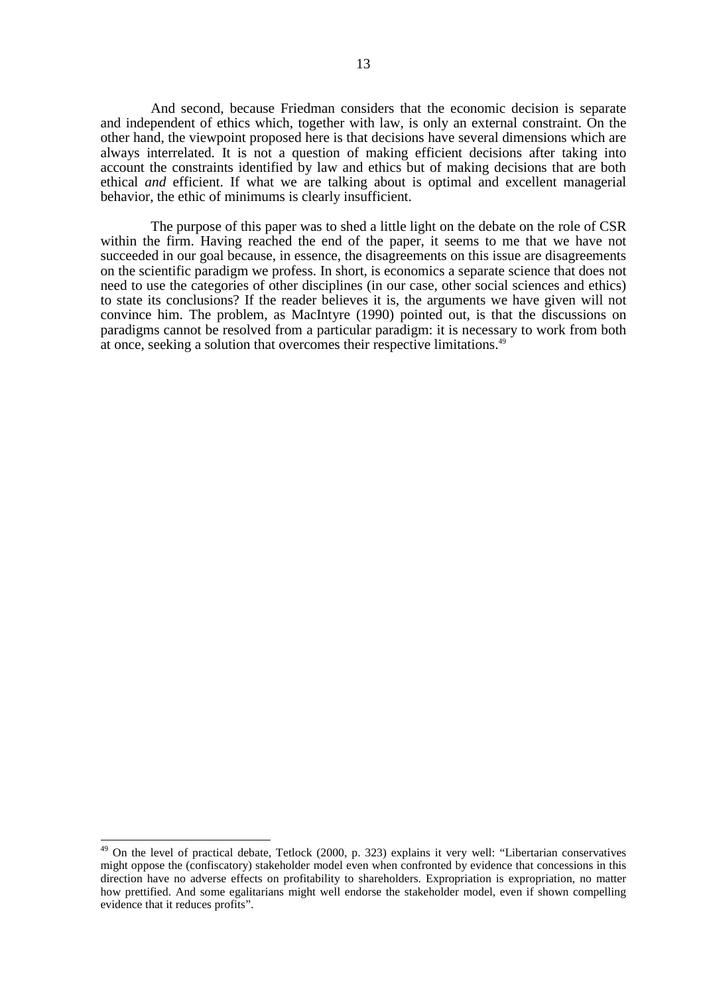And second, because Friedman considers that the economic decision is separate and independent of ethics which, together with law, is only an external constraint. On the other hand, the viewpoint proposed here is that decisions have several dimensions which are always interrelated. It is not a question of making efficient decisions after taking into account the constraints identified by law and ethics but of making decisions that are both ethical *and* efficient. If what we are talking about is optimal and excellent managerial behavior, the ethic of minimums is clearly insufficient.

The purpose of this paper was to shed a little light on the debate on the role of CSR within the firm. Having reached the end of the paper, it seems to me that we have not succeeded in our goal because, in essence, the disagreements on this issue are disagreements on the scientific paradigm we profess. In short, is economics a separate science that does not need to use the categories of other disciplines (in our case, other social sciences and ethics) to state its conclusions? If the reader believes it is, the arguments we have given will not convince him. The problem, as MacIntyre (1990) pointed out, is that the discussions on paradigms cannot be resolved from a particular paradigm: it is necessary to work from both at once, seeking a solution that overcomes their respective limitations.<sup>49</sup>

 $\overline{\phantom{a}}$ 

<sup>&</sup>lt;sup>49</sup> On the level of practical debate, Tetlock (2000, p. 323) explains it very well: "Libertarian conservatives might oppose the (confiscatory) stakeholder model even when confronted by evidence that concessions in this direction have no adverse effects on profitability to shareholders. Expropriation is expropriation, no matter how prettified. And some egalitarians might well endorse the stakeholder model, even if shown compelling evidence that it reduces profits".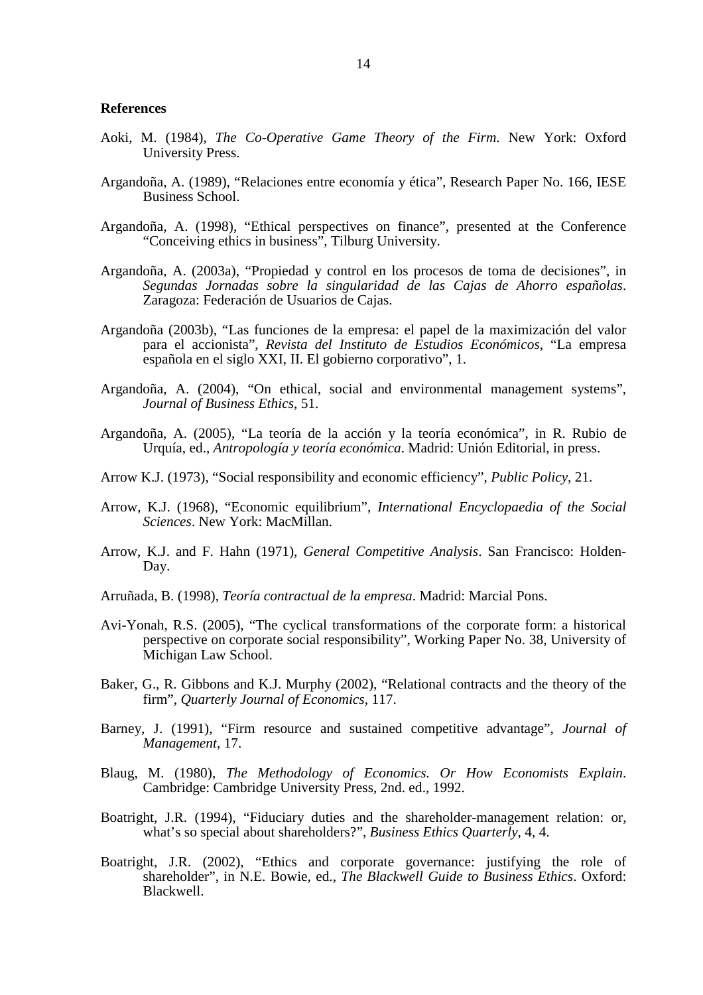#### **References**

- Aoki, M. (1984), *The Co-Operative Game Theory of the Firm*. New York: Oxford University Press.
- Argandoña, A. (1989), "Relaciones entre economía y ética", Research Paper No. 166, IESE Business School.
- Argandoña, A. (1998), "Ethical perspectives on finance", presented at the Conference "Conceiving ethics in business", Tilburg University.
- Argandoña, A. (2003a), "Propiedad y control en los procesos de toma de decisiones", in *Segundas Jornadas sobre la singularidad de las Cajas de Ahorro españolas*. Zaragoza: Federación de Usuarios de Cajas.
- Argandoña (2003b), "Las funciones de la empresa: el papel de la maximización del valor para el accionista", *Revista del Instituto de Estudios Económicos*, "La empresa española en el siglo XXI, II. El gobierno corporativo", 1.
- Argandoña, A. (2004), "On ethical, social and environmental management systems", *Journal of Business Ethics*, 51.
- Argandoña, A. (2005), "La teoría de la acción y la teoría económica", in R. Rubio de Urquía, ed., *Antropología y teoría económica*. Madrid: Unión Editorial, in press.
- Arrow K.J. (1973), "Social responsibility and economic efficiency", *Public Policy*, 21.
- Arrow, K.J. (1968), "Economic equilibrium", *International Encyclopaedia of the Social Sciences*. New York: MacMillan.
- Arrow, K.J. and F. Hahn (1971), *General Competitive Analysis*. San Francisco: Holden-Day.
- Arruñada, B. (1998), *Teoría contractual de la empresa*. Madrid: Marcial Pons.
- Avi-Yonah, R.S. (2005), "The cyclical transformations of the corporate form: a historical perspective on corporate social responsibility", Working Paper No. 38, University of Michigan Law School.
- Baker, G., R. Gibbons and K.J. Murphy (2002), "Relational contracts and the theory of the firm", *Quarterly Journal of Economics*, 117.
- Barney, J. (1991), "Firm resource and sustained competitive advantage", *Journal of Management*, 17.
- Blaug, M. (1980), *The Methodology of Economics. Or How Economists Explain*. Cambridge: Cambridge University Press, 2nd. ed., 1992.
- Boatright, J.R. (1994), "Fiduciary duties and the shareholder-management relation: or, what's so special about shareholders?", *Business Ethics Quarterly*, 4, 4.
- Boatright, J.R. (2002), "Ethics and corporate governance: justifying the role of shareholder", in N.E. Bowie, ed., *The Blackwell Guide to Business Ethics*. Oxford: Blackwell.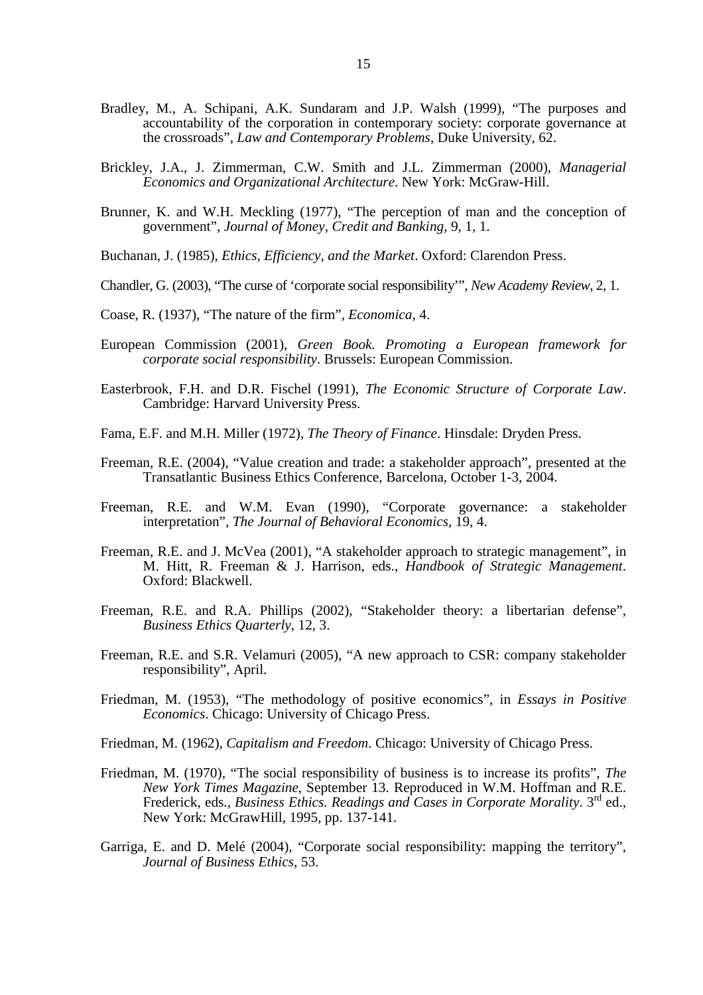- Bradley, M., A. Schipani, A.K. Sundaram and J.P. Walsh (1999), "The purposes and accountability of the corporation in contemporary society: corporate governance at the crossroads", *Law and Contemporary Problems*, Duke University, 62.
- Brickley, J.A., J. Zimmerman, C.W. Smith and J.L. Zimmerman (2000), *Managerial Economics and Organizational Architecture*. New York: McGraw-Hill.
- Brunner, K. and W.H. Meckling (1977), "The perception of man and the conception of government", *Journal of Money, Credit and Banking*, 9, 1, 1.
- Buchanan, J. (1985), *Ethics, Efficiency, and the Market*. Oxford: Clarendon Press.
- Chandler, G. (2003), "The curse of 'corporate social responsibility'", *New Academy Review*, 2, 1.
- Coase, R. (1937), "The nature of the firm", *Economica*, 4.
- European Commission (2001), *Green Book. Promoting a European framework for corporate social responsibility*. Brussels: European Commission.
- Easterbrook, F.H. and D.R. Fischel (1991), *The Economic Structure of Corporate Law*. Cambridge: Harvard University Press.
- Fama, E.F. and M.H. Miller (1972), *The Theory of Finance*. Hinsdale: Dryden Press.
- Freeman, R.E. (2004), "Value creation and trade: a stakeholder approach", presented at the Transatlantic Business Ethics Conference, Barcelona, October 1-3, 2004.
- Freeman, R.E. and W.M. Evan (1990), "Corporate governance: a stakeholder interpretation", *The Journal of Behavioral Economics*, 19, 4.
- Freeman, R.E. and J. McVea (2001), "A stakeholder approach to strategic management", in M. Hitt, R. Freeman & J. Harrison, eds., *Handbook of Strategic Management*. Oxford: Blackwell.
- Freeman, R.E. and R.A. Phillips (2002), "Stakeholder theory: a libertarian defense", *Business Ethics Quarterly*, 12, 3.
- Freeman, R.E. and S.R. Velamuri (2005), "A new approach to CSR: company stakeholder responsibility", April.
- Friedman, M. (1953), "The methodology of positive economics", in *Essays in Positive Economics*. Chicago: University of Chicago Press.
- Friedman, M. (1962), *Capitalism and Freedom*. Chicago: University of Chicago Press.
- Friedman, M. (1970), "The social responsibility of business is to increase its profits", *The New York Times Magazine*, September 13. Reproduced in W.M. Hoffman and R.E. Frederick, eds., *Business Ethics. Readings and Cases in Corporate Morality*. 3rd ed., New York: McGrawHill, 1995, pp. 137-141.
- Garriga, E. and D. Melé (2004), "Corporate social responsibility: mapping the territory", *Journal of Business Ethics*, 53.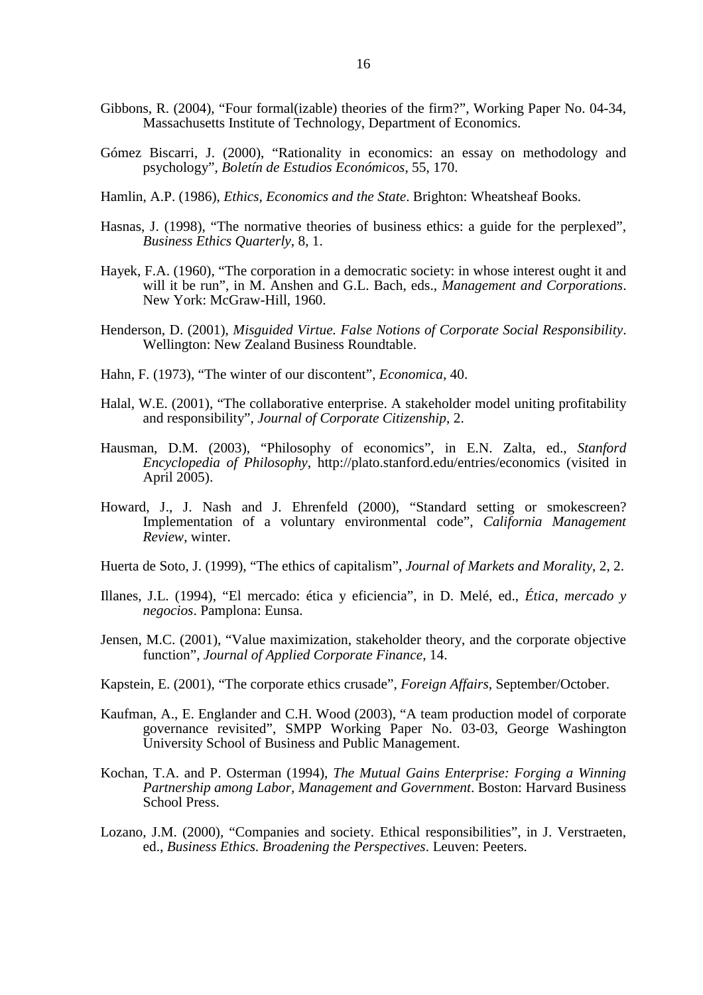- Gibbons, R. (2004), "Four formal(izable) theories of the firm?", Working Paper No. 04-34, Massachusetts Institute of Technology, Department of Economics.
- Gómez Biscarri, J. (2000), "Rationality in economics: an essay on methodology and psychology", *Boletín de Estudios Económicos*, 55, 170.
- Hamlin, A.P. (1986), *Ethics, Economics and the State*. Brighton: Wheatsheaf Books.
- Hasnas, J. (1998), "The normative theories of business ethics: a guide for the perplexed", *Business Ethics Quarterly*, 8, 1.
- Hayek, F.A. (1960), "The corporation in a democratic society: in whose interest ought it and will it be run", in M. Anshen and G.L. Bach, eds., *Management and Corporations*. New York: McGraw-Hill, 1960.
- Henderson, D. (2001), *Misguided Virtue. False Notions of Corporate Social Responsibility*. Wellington: New Zealand Business Roundtable.
- Hahn, F. (1973), "The winter of our discontent", *Economica*, 40.
- Halal, W.E. (2001), "The collaborative enterprise. A stakeholder model uniting profitability and responsibility", *Journal of Corporate Citizenship*, 2.
- Hausman, D.M. (2003), "Philosophy of economics", in E.N. Zalta, ed., *Stanford Encyclopedia of Philosophy*, http://plato.stanford.edu/entries/economics (visited in April 2005).
- Howard, J., J. Nash and J. Ehrenfeld (2000), "Standard setting or smokescreen? Implementation of a voluntary environmental code", *California Management Review*, winter.
- Huerta de Soto, J. (1999), "The ethics of capitalism", *Journal of Markets and Morality*, 2, 2.
- Illanes, J.L. (1994), "El mercado: ética y eficiencia", in D. Melé, ed., *Ética, mercado y negocios*. Pamplona: Eunsa.
- Jensen, M.C. (2001), "Value maximization, stakeholder theory, and the corporate objective function", *Journal of Applied Corporate Finance*, 14.
- Kapstein, E. (2001), "The corporate ethics crusade", *Foreign Affairs*, September/October.
- Kaufman, A., E. Englander and C.H. Wood (2003), "A team production model of corporate governance revisited", SMPP Working Paper No. 03-03, George Washington University School of Business and Public Management.
- Kochan, T.A. and P. Osterman (1994), *The Mutual Gains Enterprise: Forging a Winning Partnership among Labor, Management and Government*. Boston: Harvard Business School Press.
- Lozano, J.M. (2000), "Companies and society. Ethical responsibilities", in J. Verstraeten, ed., *Business Ethics. Broadening the Perspectives*. Leuven: Peeters.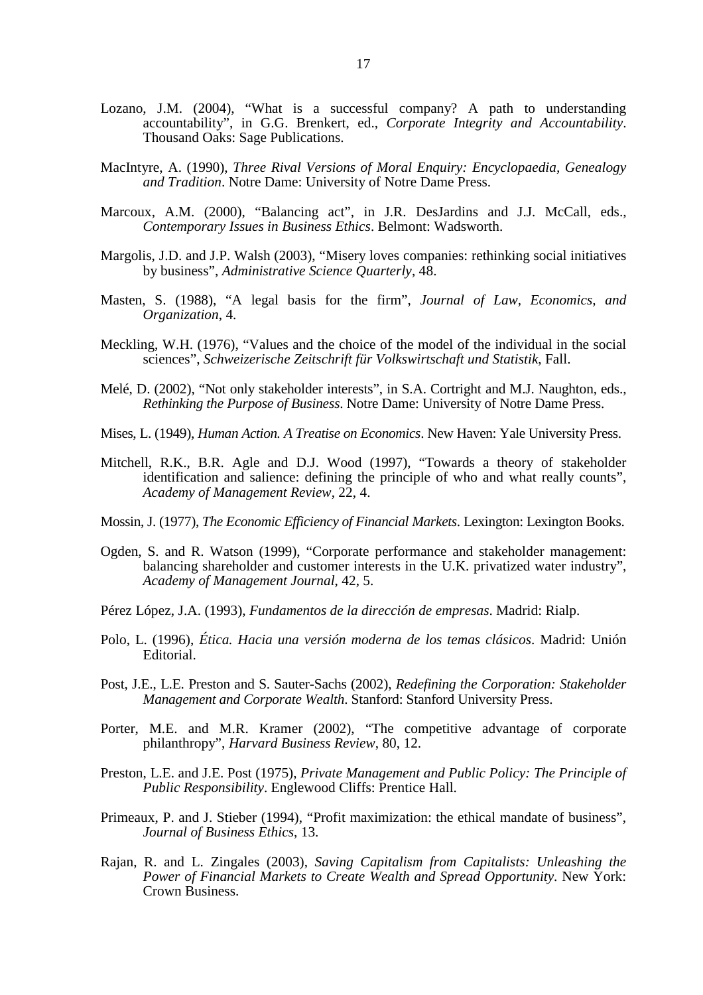- Lozano, J.M. (2004), "What is a successful company? A path to understanding accountability", in G.G. Brenkert, ed., *Corporate Integrity and Accountability*. Thousand Oaks: Sage Publications.
- MacIntyre, A. (1990), *Three Rival Versions of Moral Enquiry: Encyclopaedia, Genealogy and Tradition*. Notre Dame: University of Notre Dame Press.
- Marcoux, A.M. (2000), "Balancing act", in J.R. DesJardins and J.J. McCall, eds., *Contemporary Issues in Business Ethics*. Belmont: Wadsworth.
- Margolis, J.D. and J.P. Walsh (2003), "Misery loves companies: rethinking social initiatives by business", *Administrative Science Quarterly*, 48.
- Masten, S. (1988), "A legal basis for the firm", *Journal of Law, Economics, and Organization*, 4.
- Meckling, W.H. (1976), "Values and the choice of the model of the individual in the social sciences", *Schweizerische Zeitschrift für Volkswirtschaft und Statistik*, Fall.
- Melé, D. (2002), "Not only stakeholder interests", in S.A. Cortright and M.J. Naughton, eds., *Rethinking the Purpose of Business*. Notre Dame: University of Notre Dame Press.
- Mises, L. (1949), *Human Action. A Treatise on Economics*. New Haven: Yale University Press.
- Mitchell, R.K., B.R. Agle and D.J. Wood (1997), "Towards a theory of stakeholder identification and salience: defining the principle of who and what really counts", *Academy of Management Review*, 22, 4.
- Mossin, J. (1977), *The Economic Efficiency of Financial Markets*. Lexington: Lexington Books.
- Ogden, S. and R. Watson (1999), "Corporate performance and stakeholder management: balancing shareholder and customer interests in the U.K. privatized water industry", *Academy of Management Journal*, 42, 5.
- Pérez López, J.A. (1993), *Fundamentos de la dirección de empresas*. Madrid: Rialp.
- Polo, L. (1996), *Ética. Hacia una versión moderna de los temas clásicos*. Madrid: Unión Editorial.
- Post, J.E., L.E. Preston and S. Sauter-Sachs (2002), *Redefining the Corporation: Stakeholder Management and Corporate Wealth*. Stanford: Stanford University Press.
- Porter, M.E. and M.R. Kramer (2002), "The competitive advantage of corporate philanthropy", *Harvard Business Review*, 80, 12.
- Preston, L.E. and J.E. Post (1975), *Private Management and Public Policy: The Principle of Public Responsibility*. Englewood Cliffs: Prentice Hall.
- Primeaux, P. and J. Stieber (1994), "Profit maximization: the ethical mandate of business", *Journal of Business Ethics*, 13.
- Rajan, R. and L. Zingales (2003), *Saving Capitalism from Capitalists: Unleashing the Power of Financial Markets to Create Wealth and Spread Opportunity*. New York: Crown Business.